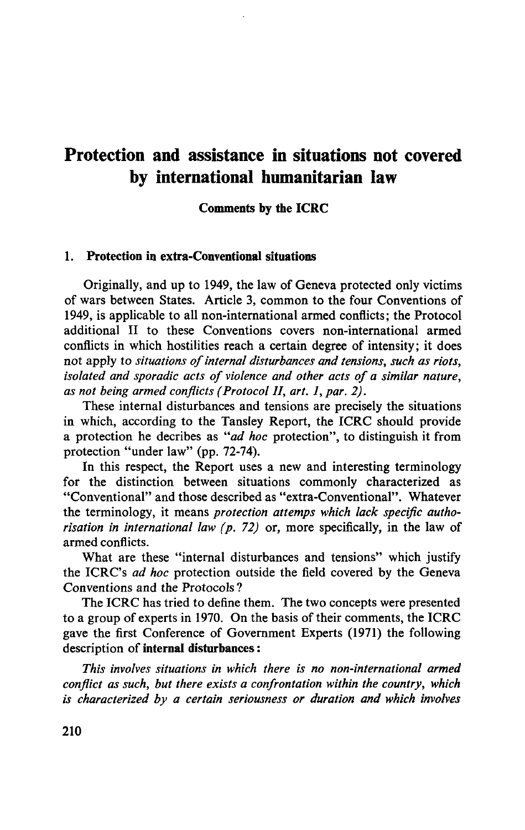# **Protection and assistance in situations not covered by international humanitarian law**

#### **Comments by the ICRC**

### **1. Protection in extra-Conventional situations**

Originally, and up to 1949, the law of Geneva protected only victims of wars between States. Article 3, common to the four Conventions of 1949, is applicable to all non-international armed conflicts; the Protocol additional II to these Conventions covers non-international armed conflicts in which hostilities reach a certain degree of intensity; it does not apply to *situations of internal disturbances and tensions, such as riots, isolated and sporadic acts of violence and other acts of a similar nature, as not being armed conflicts (Protocol II, art. 1, par. 2).*

These internal disturbances and tensions are precisely the situations in which, according to the Tansley Report, the ICRC should provide a protection he decribes as *"ad hoc* protection", to distinguish it from protection "under law" (pp. 72-74).

In this respect, the Report uses a new and interesting terminology for the distinction between situations commonly characterized as "Conventional" and those described as "extra-Conventional". Whatever the terminology, it means *protection attemps which lack specific authorisation in international law (p. 72)* or, more specifically, in the law of armed conflicts.

What are these "internal disturbances and tensions" which justify the ICRC's *ad hoc* protection outside the field covered by the Geneva Conventions and the Protocols ?

The ICRC has tried to define them. The two concepts were presented to a group of experts in 1970. On the basis of their comments, the ICRC gave the first Conference of Government Experts (1971) the following description of **internal disturbances**:

*This involves situations in which there is no non-international armed conflict as such, but there exists a confrontation within the country, which is characterized by a certain seriousness or duration and which involves*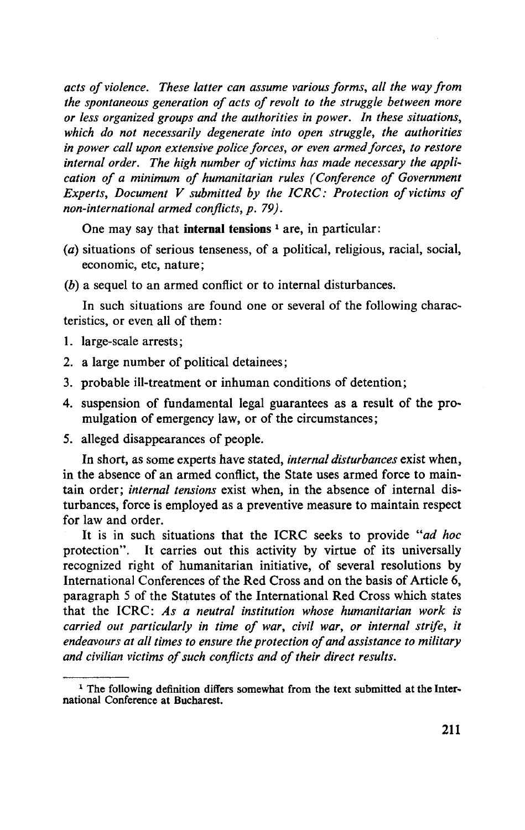*acts of violence. These latter can assume various forms, all the way from the spontaneous generation of acts of revolt to the struggle between more or less organized groups and the authorities in power. In these situations, which do not necessarily degenerate into open struggle, the authorities in power call upon extensive police forces, or even armed forces, to restore internal order. The high number of victims has made necessary the application of a minimum of humanitarian rules (Conference of Government Experts, Document V submitted by the ICRC: Protection of victims of non-international armed conflicts, p. 79).*

One may say that **internal tensions**<sup>1</sup> are, in particular

- *(a)* situations of serious tenseness, of a political, religious, racial, social, economic, etc, nature;
- *(b)* a sequel to an armed conflict or to internal disturbances.

In such situations are found one or several of the following characteristics, or even all of them:

- 1. large-scale arrests;
- 2. a large number of political detainees;
- 3. probable ill-treatment or inhuman conditions of detention;
- 4. suspension of fundamental legal guarantees as a result of the promulgation of emergency law, or of the circumstances;
- 5. alleged disappearances of people.

In short, as some experts have stated, *internal disturbances* exist when, in the absence of an armed conflict, the State uses armed force to maintain order; *internal tensions* exist when, in the absence of internal disturbances, force is employed as a preventive measure to maintain respect for law and order.

It is in such situations that the ICRC seeks to provide *"ad hoc* protection". It carries out this activity by virtue of its universally recognized right of humanitarian initiative, of several resolutions by International Conferences of the Red Cross and on the basis of Article 6, paragraph 5 of the Statutes of the International Red Cross which states that the ICRC: *As a neutral institution whose humanitarian work is carried out particularly in time of war, civil war, or internal strife, it endeavours at all times to ensure the protection of and assistance to military and civilian victims of such conflicts and of their direct results.*

<sup>&</sup>lt;sup>1</sup> The following definition differs somewhat from the text submitted at the International Conference at Bucharest.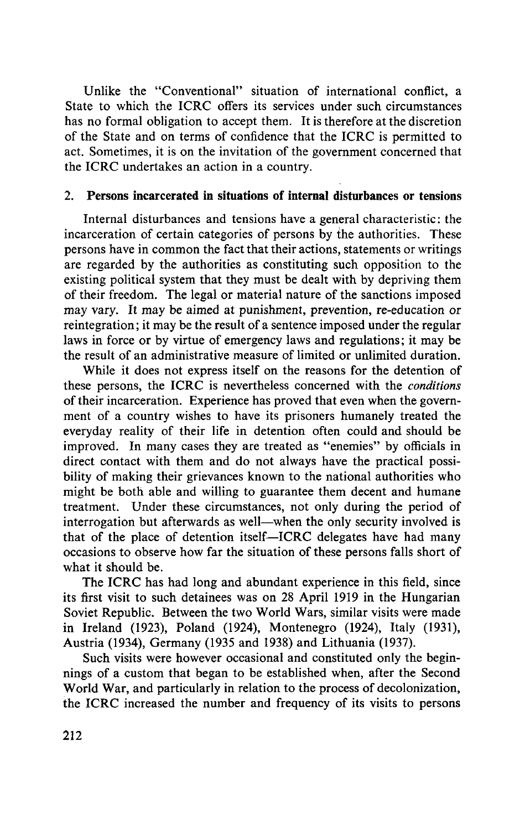Unlike the "Conventional" situation of international conflict, a State to which the ICRC offers its services under such circumstances has no formal obligation to accept them. It is therefore at the discretion of the State and on terms of confidence that the ICRC is permitted to act. Sometimes, it is on the invitation of the government concerned that the ICRC undertakes an action in a country.

## 2. **Persons incarcerated in situations of internal disturbances or tensions**

Internal disturbances and tensions have a general characteristic: the incarceration of certain categories of persons by the authorities. These persons have in common the fact that their actions, statements or writings are regarded by the authorities as constituting such opposition to the existing political system that they must be dealt with by depriving them of their freedom. The legal or material nature of the sanctions imposed may vary. It may be aimed at punishment, prevention, re-education or reintegration; it may be the result of a sentence imposed under the regular laws in force or by virtue of emergency laws and regulations; it may be the result of an administrative measure of limited or unlimited duration.

While it does not express itself on the reasons for the detention of these persons, the ICRC is nevertheless concerned with the *conditions* of their incarceration. Experience has proved that even when the government of a country wishes to have its prisoners humanely treated the everyday reality of their life in detention often could and should be improved. In many cases they are treated as "enemies" by officials in direct contact with them and do not always have the practical possibility of making their grievances known to the national authorities who might be both able and willing to guarantee them decent and humane treatment. Under these circumstances, not only during the period of interrogation but afterwards as well—when the only security involved is that of the place of detention itself—ICRC delegates have had many occasions to observe how far the situation of these persons falls short of what it should be.

The ICRC has had long and abundant experience in this field, since its first visit to such detainees was on 28 April 1919 in the Hungarian Soviet Republic. Between the two World Wars, similar visits were made in Ireland (1923), Poland (1924), Montenegro (1924), Italy (1931), Austria (1934), Germany (1935 and 1938) and Lithuania (1937).

Such visits were however occasional and constituted only the beginnings of a custom that began to be established when, after the Second World War, and particularly in relation to the process of decolonization, the ICRC increased the number and frequency of its visits to persons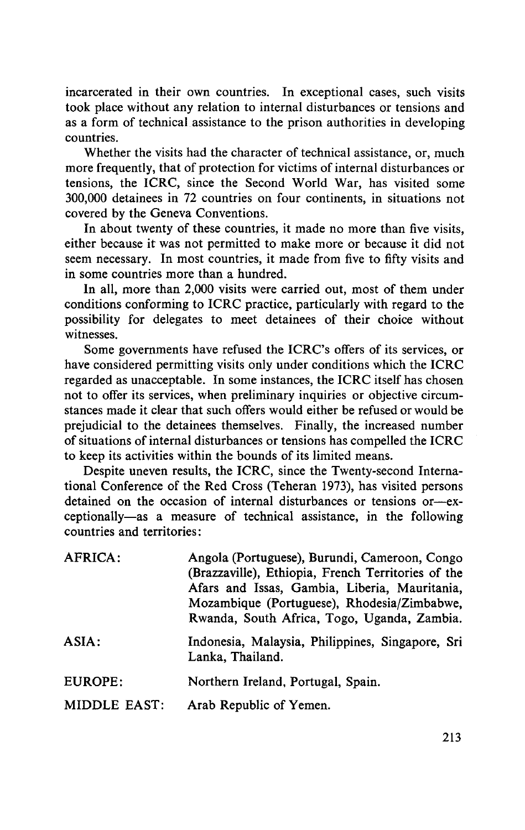incarcerated in their own countries. In exceptional cases, such visits took place without any relation to internal disturbances or tensions and as a form of technical assistance to the prison authorities in developing countries.

Whether the visits had the character of technical assistance, or, much more frequently, that of protection for victims of internal disturbances or tensions, the ICRC, since the Second World War, has visited some 300,000 detainees in 72 countries on four continents, in situations not covered by the Geneva Conventions.

In about twenty of these countries, it made no more than five visits, either because it was not permitted to make more or because it did not seem necessary. In most countries, it made from five to fifty visits and in some countries more than a hundred.

In all, more than 2,000 visits were carried out, most of them under conditions conforming to ICRC practice, particularly with regard to the possibility for delegates to meet detainees of their choice without witnesses.

Some governments have refused the ICRC's offers of its services, or have considered permitting visits only under conditions which the ICRC regarded as unacceptable. In some instances, the ICRC itself has chosen not to offer its services, when preliminary inquiries or objective circumstances made it clear that such offers would either be refused or would be prejudicial to the detainees themselves. Finally, the increased number of situations of internal disturbances or tensions has compelled the ICRC to keep its activities within the bounds of its limited means.

Despite uneven results, the ICRC, since the Twenty-second International Conference of the Red Cross (Teheran 1973), has visited persons detained on the occasion of internal disturbances or tensions or—exceptionally—as a measure of technical assistance, in the following countries and territories:

| AFRICA:      | Angola (Portuguese), Burundi, Cameroon, Congo<br>(Brazzaville), Ethiopia, French Territories of the<br>Afars and Issas, Gambia, Liberia, Mauritania,<br>Mozambique (Portuguese), Rhodesia/Zimbabwe,<br>Rwanda, South Africa, Togo, Uganda, Zambia. |
|--------------|----------------------------------------------------------------------------------------------------------------------------------------------------------------------------------------------------------------------------------------------------|
| ASIA:        | Indonesia, Malaysia, Philippines, Singapore, Sri<br>Lanka, Thailand.                                                                                                                                                                               |
| EUROPE:      | Northern Ireland, Portugal, Spain.                                                                                                                                                                                                                 |
| MIDDLE EAST: | Arab Republic of Yemen.                                                                                                                                                                                                                            |